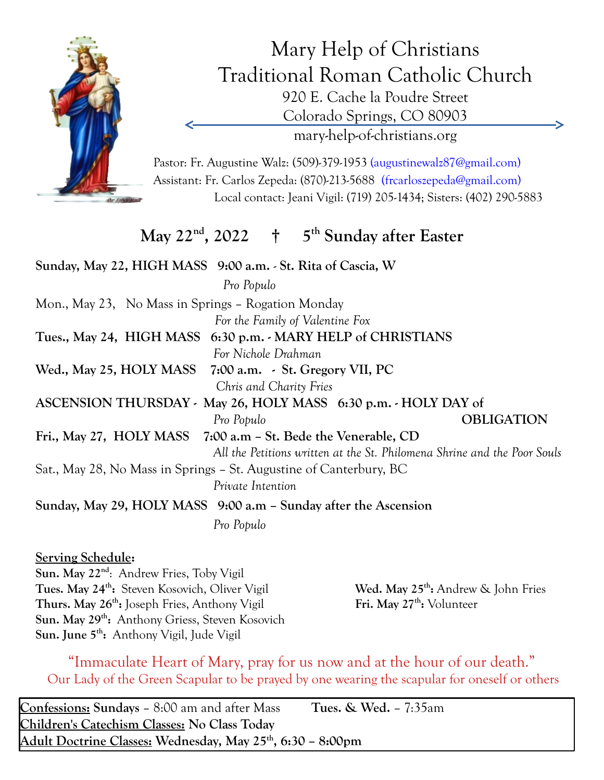

Mary Help of Christians Traditional Roman Catholic Church 920 E. Cache la Poudre Street Colorado Springs, CO 80903 mary-help-of-christians.org

Pastor: Fr. Augustine Walz: (509)-379-1953 (augustinewalz87@gmail.com) Assistant: Fr. Carlos Zepeda: (870)-213-5688 (frcarloszepeda@gmail.com) Local contact: Jeani Vigil: (719) 205-1434; Sisters: (402) 290-5883

## **May 22nd , 2022 † 5 th Sunday after Easter**

**Sunday, May 22, HIGH MASS 9:00 a.m.** - **St. Rita of Cascia, W**  *Pro Populo* Mon., May 23, No Mass in Springs – Rogation Monday *For the Family of Valentine Fox* **Tues., May 24, HIGH MASS 6:30 p.m. - MARY HELP of CHRISTIANS** *For Nichole Drahman* **Wed., May 25, HOLY MASS 7:00 a.m. - St. Gregory VII, PC**  *Chris and Charity Fries* **ASCENSION THURSDAY - May 26, HOLY MASS 6:30 p.m. - HOLY DAY of**  *Pro Populo* **OBLIGATION Fri., May 27, HOLY MASS 7:00 a.m – St. Bede the Venerable, CD** *All the Petitions written at the St. Philomena Shrine and the Poor Souls* Sat., May 28, No Mass in Springs – St. Augustine of Canterbury, BC *Private Intention* **Sunday, May 29, HOLY MASS 9:00 a.m – Sunday after the Ascension** *Pro Populo*

## **Serving Schedule:**

**Sun. May 22nd**: Andrew Fries, Toby Vigil **Tues. May 24th :** Steven Kosovich, Oliver Vigil **Wed. May 25th Thurs. May 26th :** Joseph Fries, Anthony Vigil **Fri. May 27th Sun. May 29th :** Anthony Griess, Steven Kosovich **Sun. June 5th :** Anthony Vigil, Jude Vigil

Wed. May 25<sup>th</sup>: Andrew & John Fries Fri. May 27<sup>th</sup>: Volunteer

"Immaculate Heart of Mary, pray for us now and at the hour of our death." Our Lady of the Green Scapular to be prayed by one wearing the scapular for oneself or others

**Confessions: Sundays** – 8:00 am and after Mass **Tues. & Wed.** – 7:35am **Children's Catechism Classes: No Class Today Adult Doctrine Classes: Wednesday, May 25th, 6:30 – 8:00pm**